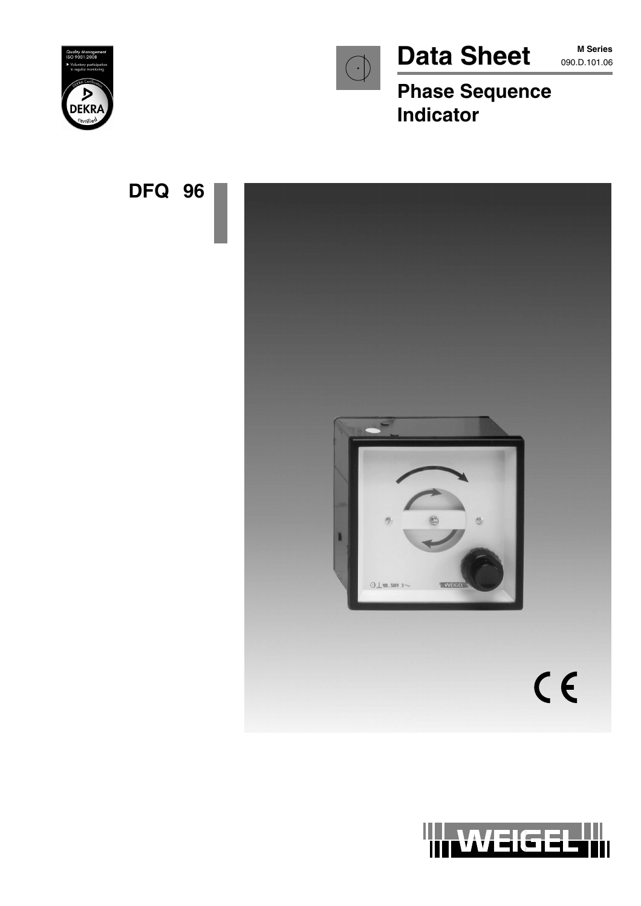



Data Sheet MSeries

**M Series**

# **Phase Sequence Indicator**



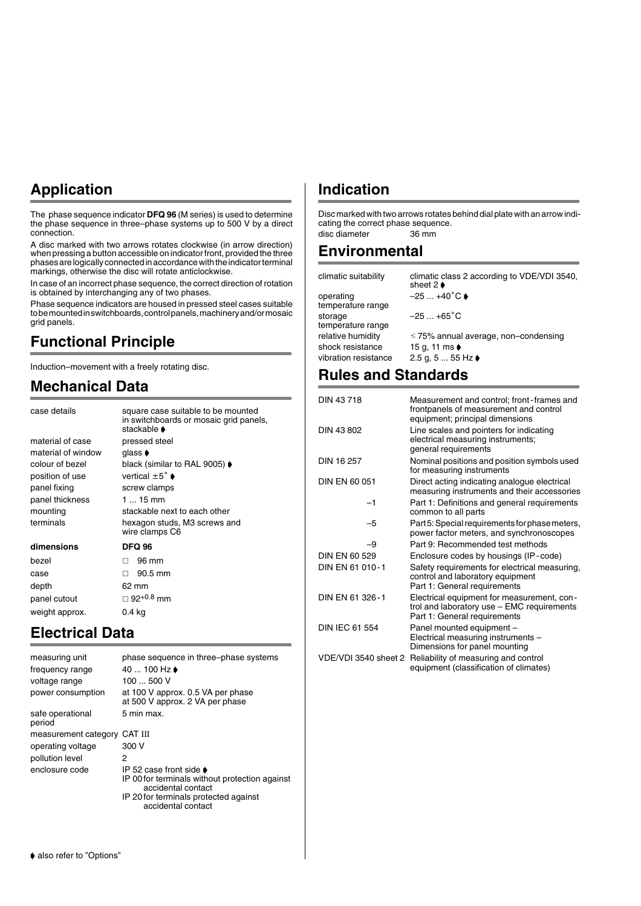## **Application**

The phase sequence indicator **DFQ 96** (M series) is used to determine the phase sequence in three–phase systems up to 500 V by a direct connection.

A disc marked with two arrows rotates clockwise (in arrow direction) when pressing a button accessible on indicator front, provided the three phases are logically connected in accordance with the indicator terminal markings, otherwise the disc will rotate anticlockwise.

In case of an incorrect phase sequence, the correct direction of rotation is obtained by interchanging any of two phases.

Phase sequence indicators are housed in pressed steel cases suitable to be mounted in switchboards, control panels, machinery and/or mosaic grid panels.

## **Functional Principle**

Induction–movement with a freely rotating disc.

## **Mechanical Data**

| case details       | square case suitable to be mounted<br>in switchboards or mosaic grid panels,<br>stackable <b>▶</b> |
|--------------------|----------------------------------------------------------------------------------------------------|
| material of case   | pressed steel                                                                                      |
| material of window | qlass $\blacktriangleright$                                                                        |
| colour of bezel    | black (similar to RAL 9005) $\blacklozenge$                                                        |
| position of use    | vertical $\pm 5^{\circ}$ $\bullet$                                                                 |
| panel fixing       | screw clamps                                                                                       |
| panel thickness    | 1  15 mm                                                                                           |
| mounting           | stackable next to each other                                                                       |
| terminals          | hexagon studs, M3 screws and<br>wire clamps C6                                                     |
| dimensions         | <b>DFQ 96</b>                                                                                      |
| bezel              | 96 mm<br>п                                                                                         |
| case               | 90.5 mm<br>п                                                                                       |
| depth              | 62 mm                                                                                              |
| panel cutout       | $\Box$ 92 <sup>+0.8</sup> mm                                                                       |
| weight approx.     | 0.4 kg                                                                                             |

## **Electrical Data**

measuring unit phase sequence in three–phase systems<br>frequency range 40 ... 100 Hz  $\bullet$ frequency range voltage range 100 ... 500 V power consumption at 100 V approx. 0.5 VA per phase at 500 V approx. 2 VA per phase safe operational 5 min max. period measurement category CAT III operating voltage 300 V pollution level 2 enclosure code IP 52 case front side  $\blacklozenge$ IP 00 for terminals without protection against accidental contact IP 20 for terminals protected against accidental contact

## **Indication**

Disc marked with two arrows rotates behind dial plate with an arrow indicating the correct phase sequence. disc diameter 36 mm

### **Environmental**

| climatic suitability         | climatic class 2 according to VDE/VDI 3540,                   |
|------------------------------|---------------------------------------------------------------|
| operating                    | sheet 2 $\blacktriangleright$<br>$-25+40^{\circ}$ C $\bullet$ |
| temperature range            |                                                               |
| storage<br>temperature range | $-25+65^{\circ}C$                                             |
| relative humidity            | $\leq$ 75% annual average, non-condensing                     |
| shock resistance             | 15 g, 11 ms $\bullet$                                         |
| vibration resistance         | 2.5 g, 5  55 Hz ♦                                             |
|                              |                                                               |

### **Rules and Standards**

| DIN 43718             |                                                                                                                          |
|-----------------------|--------------------------------------------------------------------------------------------------------------------------|
|                       | Measurement and control; front-frames and<br>frontpanels of measurement and control<br>equipment; principal dimensions   |
| DIN 43 802            | Line scales and pointers for indicating<br>electrical measuring instruments;<br>general requirements                     |
| DIN 16 257            | Nominal positions and position symbols used<br>for measuring instruments                                                 |
| DIN EN 60 051         | Direct acting indicating analogue electrical<br>measuring instruments and their accessories                              |
| $-1$                  | Part 1: Definitions and general requirements<br>common to all parts                                                      |
| -5                    | Part 5: Special requirements for phase meters,<br>power factor meters, and synchronoscopes                               |
| -9                    | Part 9: Recommended test methods                                                                                         |
| DIN EN 60 529         | Enclosure codes by housings (IP-code)                                                                                    |
| DIN EN 61 010-1       | Safety requirements for electrical measuring,<br>control and laboratory equipment<br>Part 1: General requirements        |
| DIN EN 61 326-1       | Electrical equipment for measurement, con-<br>trol and laboratory use - EMC requirements<br>Part 1: General requirements |
| <b>DIN IEC 61 554</b> | Panel mounted equipment -<br>Electrical measuring instruments -<br>Dimensions for panel mounting                         |
| VDE/VDI 3540 sheet 2  | Reliability of measuring and control<br>equipment (classification of climates)                                           |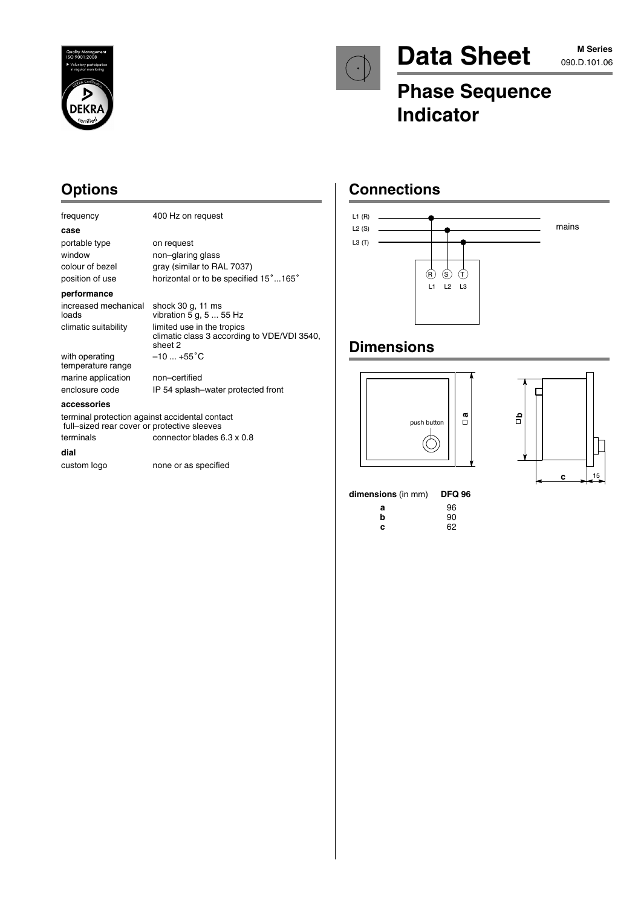



# Data Sheet M Series

# **Phase Sequence Indicator**

## **Options**

#### frequency 400 Hz on request

#### **case**

portable type on request window non–glaring glass colour of bezel gray (similar to RAL 7037) position of use horizontal or to be specified 15° ... 165°

#### **performance**

increased mechanical<br>loads

shock 30 g, 11 ms<br>vibration 5 g, 5 ... 55 Hz climatic suitability limited use in the tropics climatic class 3 according to VDE/VDI 3540, sheet 2  $-10...+55^{\circ}C$ 

with operating temperature range marine application non–certified enclosure code IP 54 splash–water protected front

#### **accessories**

terminal protection against accidental contact full–sized rear cover or protective sleeves terminals connector blades 6.3 x 0.8

#### **dial**

custom logo none or as specified

## **Connections**



### **Dimensions**





**dimensions** (in mm) **DFQ 96 a** 96<br>**b** 90 **b** 90<br>**c** 62 **c** 62